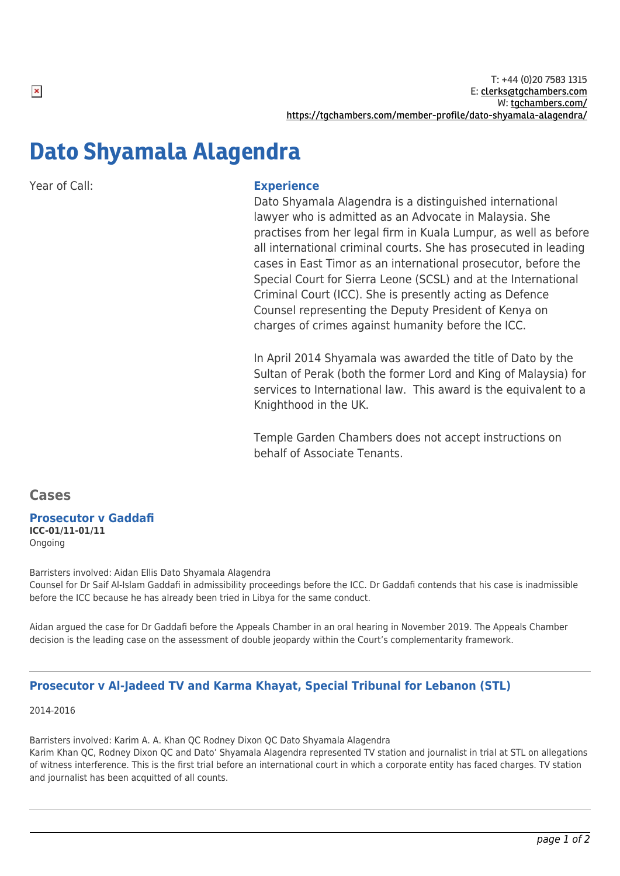# Dato Shyamala Alagendra

Year of Call: **Experience**

Dato Shyamala Alagendra is a distinguished international lawyer who is admitted as an Advocate in Malaysia. She practises from her legal firm in Kuala Lumpur, as well as before all international criminal courts. She has prosecuted in leading cases in East Timor as an international prosecutor, before the Special Court for Sierra Leone (SCSL) and at the International Criminal Court (ICC). She is presently acting as Defence Counsel representing the Deputy President of Kenya on charges of crimes against humanity before the ICC.

In April 2014 Shyamala was awarded the title of Dato by the Sultan of Perak (both the former Lord and King of Malaysia) for services to International law. This award is the equivalent to a Knighthood in the UK.

Temple Garden Chambers does not accept instructions on behalf of Associate Tenants.

**Cases**

# **Prosecutor v Gaddafi**

**ICC-01/11-01/11** Ongoing

Barristers involved: Aidan Ellis Dato Shyamala Alagendra

Counsel for Dr Saif Al-Islam Gaddafi in admissibility proceedings before the ICC. Dr Gaddafi contends that his case is inadmissible before the ICC because he has already been tried in Libya for the same conduct.

Aidan argued the case for Dr Gaddafi before the Appeals Chamber in an oral hearing in November 2019. The Appeals Chamber decision is the leading case on the assessment of double jeopardy within the Court's complementarity framework.

## **Prosecutor v Al-Jadeed TV and Karma Khayat, Special Tribunal for Lebanon (STL)**

2014-2016

Barristers involved: Karim A. A. Khan QC Rodney Dixon QC Dato Shyamala Alagendra Karim Khan QC, Rodney Dixon QC and Dato' Shyamala Alagendra represented TV station and journalist in trial at STL on allegations of witness interference. This is the first trial before an international court in which a corporate entity has faced charges. TV station and journalist has been acquitted of all counts.

 $\pmb{\times}$